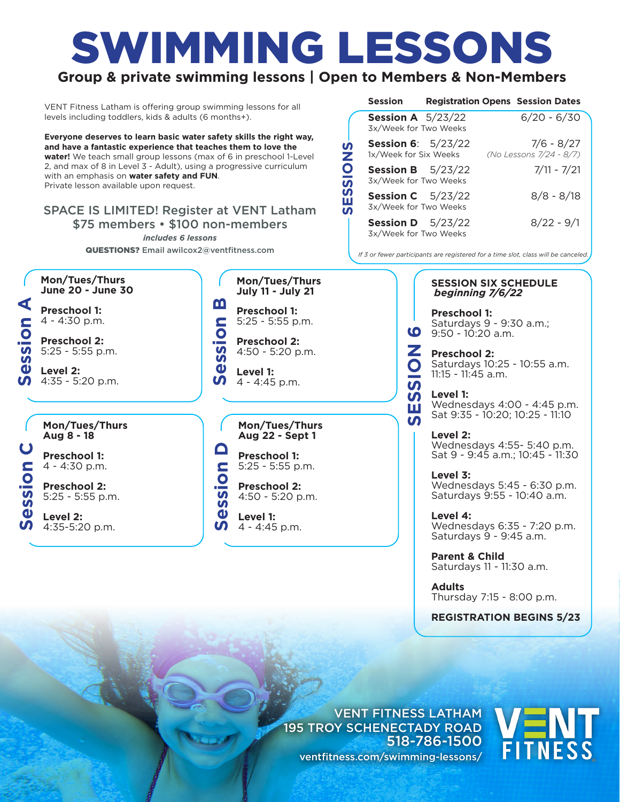# SWIMMING LESSONS

## **Group & private swimming lessons | Open to Members & Non-Members**

VENT Fitness Latham is offering group swimming lessons for all levels including toddlers, kids & adults (6 months+).

**Everyone deserves to learn basic water safety skills the right way, and have a fantastic experience that teaches them to love the water!** We teach small group lessons (max of 6 in preschool 1-Level 2, and max of 8 in Level 3 - Adult), using a progressive curriculum with an emphasis on **water safety and FUN**. Private lesson available upon request.

### SPACE IS LIMITED! Register at VENT Latham \$75 members • \$100 non-members

*includes 6 lessons* QUESTIONS? Email awilcox2@ventfitness.com

| Mon/Tues/Thurs |                   |  |  |  |  |
|----------------|-------------------|--|--|--|--|
|                | June 20 - June 30 |  |  |  |  |

**Preschool 1:** 4 - 4:30 p.m.



**Level 2:**<br>4:35 - 5:20 p.m.

**Mon/Tues/Thurs Aug 8 - 18**

**Preschool 1:** 4 - 4:30 p.m.

**Preschool 2:**  5:25 - 5:55 p.m.

**Session C** ession **Level 2:**  4:35-5:20 p.m. **Mon/Tues/Thurs July 11 - July 21**

**Session B Preschool 1:** 5:25 - 5:55 p.m. ession

**Preschool 2:**  4:50 - 5:20 p.m.

**Level 1:**  4 - 4:45 p.m.

**Mon/Tues/Thurs Aug 22 - Sept 1**

**Preschool 1:** 5:25 - 5:55 p.m.

**Preschool 2:**  4:50 - 5:20 p.m. **September 1:**<br>
5:25 - 5:55 p.<br> **September 2:**<br>
4:50 - 5:20 p<br> **Servel 1:**<br> **Servel 1:**<br>
4 - 4:45 p.m.

**Level 1:**<br>4 - 4:45 p.m.

|               | <b>Session</b>                                       |  | <b>Registration Opens Session Dates</b> |
|---------------|------------------------------------------------------|--|-----------------------------------------|
|               | Session A $5/23/22$<br>3x/Week for Two Weeks         |  | $6/20 - 6/30$                           |
| n<br>Ż        | <b>Session 6:</b> $5/23/22$<br>1x/Week for Six Weeks |  | $7/6 - 8/27$<br>(No Lessons 7/24 - 8/7) |
| $\frac{1}{2}$ | <b>Session B</b> $5/23/22$<br>3x/Week for Two Weeks  |  | $7/11 - 7/21$                           |
| S<br>ш<br>n   | <b>Session C</b> $5/23/22$<br>3x/Week for Two Weeks  |  | $8/8 - 8/18$                            |
|               | Session D $5/23/22$<br>3x/Week for Two Weeks         |  | $8/22 - 9/1$                            |

*If 3 or fewer participants are registered for a time slot, class will be canceled.*

**SESSION 6**

<u>ັທ</u>

10

**SESSION SIX SCHEDULE**  *beginning 7/6/22*

**Preschool 1:** Saturdays 9 - 9:30 a.m.; 9:50 - 10:20 a.m.

**Preschool 2:**  Saturdays 10:25 - 10:55 a.m. 11:15 - 11:45 a.m.

**Level 1:**  Wednesdays 4:00 - 4:45 p.m. Sat 9:35 - 10:20; 10:25 - 11:10

**Level 2:**  Wednesdays 4:55- 5:40 p.m. Sat 9 - 9:45 a.m.; 10:45 - 11:30

**Level 3:**  Wednesdays 5:45 - 6:30 p.m. Saturdays 9:55 - 10:40 a.m.

**Level 4:**  Wednesdays 6:35 - 7:20 p.m. Saturdays 9 - 9:45 a.m.

**Parent & Child** Saturdays 11 - 11:30 a.m.

**Adults** Thursday 7:15 - 8:00 p.m.

**REGISTRATION BEGINS 5/23**

VENT FITNESS LATHAM 195 TROY SCHENECTADY ROAD 518-786-1500 ventfitness.com/swimming-lessons/